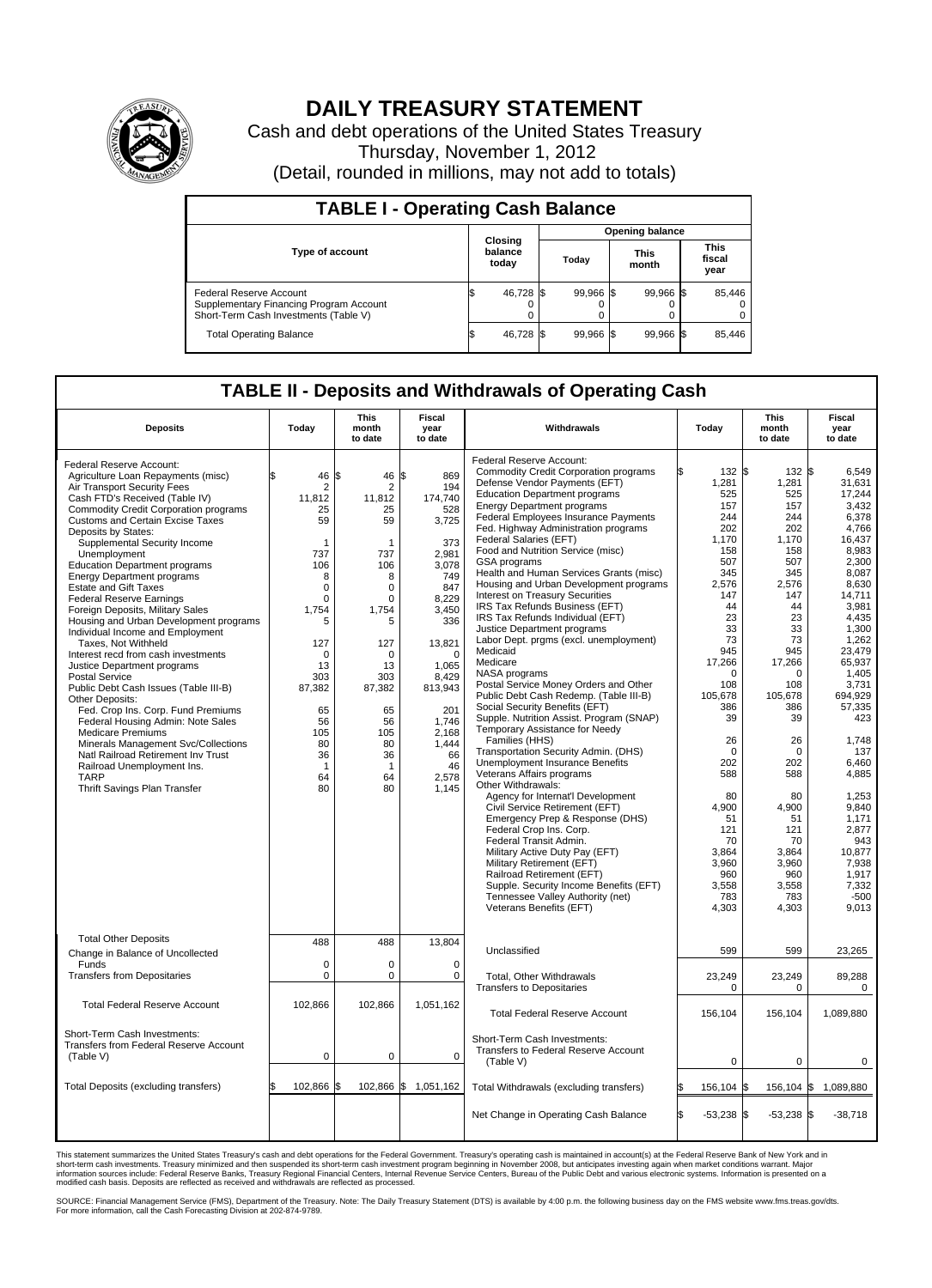

## **DAILY TREASURY STATEMENT**

Cash and debt operations of the United States Treasury Thursday, November 1, 2012 (Detail, rounded in millions, may not add to totals)

| <b>TABLE I - Operating Cash Balance</b>                                                                     |                             |                |       |                 |  |                      |                               |                         |  |  |  |
|-------------------------------------------------------------------------------------------------------------|-----------------------------|----------------|-------|-----------------|--|----------------------|-------------------------------|-------------------------|--|--|--|
|                                                                                                             |                             |                |       | Opening balance |  |                      |                               |                         |  |  |  |
| <b>Type of account</b>                                                                                      | Closing<br>balance<br>today |                | Today |                 |  | <b>This</b><br>month | <b>This</b><br>fiscal<br>year |                         |  |  |  |
| Federal Reserve Account<br>Supplementary Financing Program Account<br>Short-Term Cash Investments (Table V) |                             | 46,728 \$<br>0 |       | 99,966 \$       |  | 99,966 \$            |                               | 85,446<br>$\Omega$<br>0 |  |  |  |
| <b>Total Operating Balance</b>                                                                              |                             | 46,728         |       | 99.966 \$       |  | 99,966 \$            |                               | 85,446                  |  |  |  |

## **TABLE II - Deposits and Withdrawals of Operating Cash**

| <b>Deposits</b>                                                                                                                                                                                                                                                                                                                                                                                                                                                                                                                                                                                                                                                                                                                                                                                                                                                                                                                                                                                                        | Today                                                                                                                                                                                        | <b>This</b><br>month<br>to date                                                                                                                                                                                               | Fiscal<br>year<br>to date                                                                                                                                                                                                         | Withdrawals                                                                                                                                                                                                                                                                                                                                                                                                                                                                                                                                                                                                                                                                                                                                                                                                                                                                                                                                                                                                                                                                                                                                                                                                                                                                                                                                                              | Today                                                                                                                                                                                                                                                                                    | <b>This</b><br>month<br>to date                                                                                                                                                                                                                                                               | <b>Fiscal</b><br>year<br>to date                                                                                                                                                                                                                                                                                                               |
|------------------------------------------------------------------------------------------------------------------------------------------------------------------------------------------------------------------------------------------------------------------------------------------------------------------------------------------------------------------------------------------------------------------------------------------------------------------------------------------------------------------------------------------------------------------------------------------------------------------------------------------------------------------------------------------------------------------------------------------------------------------------------------------------------------------------------------------------------------------------------------------------------------------------------------------------------------------------------------------------------------------------|----------------------------------------------------------------------------------------------------------------------------------------------------------------------------------------------|-------------------------------------------------------------------------------------------------------------------------------------------------------------------------------------------------------------------------------|-----------------------------------------------------------------------------------------------------------------------------------------------------------------------------------------------------------------------------------|--------------------------------------------------------------------------------------------------------------------------------------------------------------------------------------------------------------------------------------------------------------------------------------------------------------------------------------------------------------------------------------------------------------------------------------------------------------------------------------------------------------------------------------------------------------------------------------------------------------------------------------------------------------------------------------------------------------------------------------------------------------------------------------------------------------------------------------------------------------------------------------------------------------------------------------------------------------------------------------------------------------------------------------------------------------------------------------------------------------------------------------------------------------------------------------------------------------------------------------------------------------------------------------------------------------------------------------------------------------------------|------------------------------------------------------------------------------------------------------------------------------------------------------------------------------------------------------------------------------------------------------------------------------------------|-----------------------------------------------------------------------------------------------------------------------------------------------------------------------------------------------------------------------------------------------------------------------------------------------|------------------------------------------------------------------------------------------------------------------------------------------------------------------------------------------------------------------------------------------------------------------------------------------------------------------------------------------------|
| Federal Reserve Account:<br>Agriculture Loan Repayments (misc)<br>Air Transport Security Fees<br>Cash FTD's Received (Table IV)<br><b>Commodity Credit Corporation programs</b><br><b>Customs and Certain Excise Taxes</b><br>Deposits by States:<br>Supplemental Security Income<br>Unemployment<br><b>Education Department programs</b><br><b>Energy Department programs</b><br><b>Estate and Gift Taxes</b><br><b>Federal Reserve Earnings</b><br>Foreign Deposits, Military Sales<br>Housing and Urban Development programs<br>Individual Income and Employment<br>Taxes, Not Withheld<br>Interest recd from cash investments<br>Justice Department programs<br><b>Postal Service</b><br>Public Debt Cash Issues (Table III-B)<br>Other Deposits:<br>Fed. Crop Ins. Corp. Fund Premiums<br>Federal Housing Admin: Note Sales<br><b>Medicare Premiums</b><br>Minerals Management Svc/Collections<br>Natl Railroad Retirement Inv Trust<br>Railroad Unemployment Ins.<br><b>TARP</b><br>Thrift Savings Plan Transfer | 46<br>\$.<br>2<br>11.812<br>25<br>59<br>1<br>737<br>106<br>8<br>0<br>0<br>1,754<br>5<br>127<br>$\mathbf 0$<br>13<br>303<br>87,382<br>65<br>56<br>105<br>80<br>36<br>$\mathbf{1}$<br>64<br>80 | l\$<br>46<br>$\overline{2}$<br>11.812<br>25<br>59<br>-1<br>737<br>106<br>8<br>$\mathbf 0$<br>$\mathbf 0$<br>1.754<br>5<br>127<br>$\mathbf 0$<br>13<br>303<br>87,382<br>65<br>56<br>105<br>80<br>36<br>$\mathbf 1$<br>64<br>80 | S.<br>869<br>194<br>174.740<br>528<br>3,725<br>373<br>2.981<br>3,078<br>749<br>847<br>8,229<br>3.450<br>336<br>13,821<br>$\mathbf 0$<br>1,065<br>8,429<br>813,943<br>201<br>1.746<br>2,168<br>1,444<br>66<br>46<br>2,578<br>1,145 | Federal Reserve Account:<br><b>Commodity Credit Corporation programs</b><br>Defense Vendor Payments (EFT)<br><b>Education Department programs</b><br><b>Energy Department programs</b><br>Federal Employees Insurance Payments<br>Fed. Highway Administration programs<br>Federal Salaries (EFT)<br>Food and Nutrition Service (misc)<br>GSA programs<br>Health and Human Services Grants (misc)<br>Housing and Urban Development programs<br>Interest on Treasury Securities<br>IRS Tax Refunds Business (EFT)<br>IRS Tax Refunds Individual (EFT)<br>Justice Department programs<br>Labor Dept. prgms (excl. unemployment)<br>Medicaid<br>Medicare<br>NASA programs<br>Postal Service Money Orders and Other<br>Public Debt Cash Redemp. (Table III-B)<br>Social Security Benefits (EFT)<br>Supple. Nutrition Assist. Program (SNAP)<br>Temporary Assistance for Needy<br>Families (HHS)<br>Transportation Security Admin. (DHS)<br><b>Unemployment Insurance Benefits</b><br>Veterans Affairs programs<br>Other Withdrawals:<br>Agency for Internat'l Development<br>Civil Service Retirement (EFT)<br>Emergency Prep & Response (DHS)<br>Federal Crop Ins. Corp.<br>Federal Transit Admin.<br>Military Active Duty Pay (EFT)<br>Military Retirement (EFT)<br>Railroad Retirement (EFT)<br>Supple. Security Income Benefits (EFT)<br>Tennessee Valley Authority (net) | 132 \$<br>1,281<br>525<br>157<br>244<br>202<br>1,170<br>158<br>507<br>345<br>2,576<br>147<br>44<br>23<br>33<br>73<br>945<br>17,266<br>$\Omega$<br>108<br>105,678<br>386<br>39<br>26<br>$\Omega$<br>202<br>588<br>80<br>4.900<br>51<br>121<br>70<br>3.864<br>3,960<br>960<br>3,558<br>783 | $132$ \$<br>1,281<br>525<br>157<br>244<br>202<br>1,170<br>158<br>507<br>345<br>2,576<br>147<br>44<br>23<br>33<br>73<br>945<br>17,266<br>$\Omega$<br>108<br>105,678<br>386<br>39<br>26<br>$\mathbf 0$<br>202<br>588<br>80<br>4.900<br>51<br>121<br>70<br>3.864<br>3,960<br>960<br>3,558<br>783 | 6.549<br>31,631<br>17,244<br>3.432<br>6,378<br>4,766<br>16,437<br>8,983<br>2.300<br>8,087<br>8,630<br>14.711<br>3,981<br>4.435<br>1,300<br>1,262<br>23,479<br>65,937<br>1,405<br>3,731<br>694,929<br>57,335<br>423<br>1,748<br>137<br>6.460<br>4,885<br>1,253<br>9.840<br>1,171<br>2,877<br>943<br>10.877<br>7,938<br>1,917<br>7,332<br>$-500$ |
| <b>Total Other Deposits</b><br>Change in Balance of Uncollected<br>Funds<br><b>Transfers from Depositaries</b>                                                                                                                                                                                                                                                                                                                                                                                                                                                                                                                                                                                                                                                                                                                                                                                                                                                                                                         | 488<br>$\mathbf 0$<br>$\mathbf 0$                                                                                                                                                            | 488<br>$\mathbf 0$<br>$\mathbf 0$                                                                                                                                                                                             | 13,804<br>$\Omega$<br>0                                                                                                                                                                                                           | Veterans Benefits (EFT)<br>Unclassified<br>Total, Other Withdrawals                                                                                                                                                                                                                                                                                                                                                                                                                                                                                                                                                                                                                                                                                                                                                                                                                                                                                                                                                                                                                                                                                                                                                                                                                                                                                                      | 4,303<br>599<br>23,249                                                                                                                                                                                                                                                                   | 4,303<br>599<br>23,249                                                                                                                                                                                                                                                                        | 9,013<br>23,265<br>89,288                                                                                                                                                                                                                                                                                                                      |
| <b>Total Federal Reserve Account</b>                                                                                                                                                                                                                                                                                                                                                                                                                                                                                                                                                                                                                                                                                                                                                                                                                                                                                                                                                                                   | 102,866                                                                                                                                                                                      | 102,866                                                                                                                                                                                                                       | 1,051,162                                                                                                                                                                                                                         | <b>Transfers to Depositaries</b>                                                                                                                                                                                                                                                                                                                                                                                                                                                                                                                                                                                                                                                                                                                                                                                                                                                                                                                                                                                                                                                                                                                                                                                                                                                                                                                                         | 0                                                                                                                                                                                                                                                                                        | $\mathbf 0$                                                                                                                                                                                                                                                                                   | $\Omega$                                                                                                                                                                                                                                                                                                                                       |
| Short-Term Cash Investments:<br>Transfers from Federal Reserve Account<br>(Table V)                                                                                                                                                                                                                                                                                                                                                                                                                                                                                                                                                                                                                                                                                                                                                                                                                                                                                                                                    | 0                                                                                                                                                                                            | $\mathbf 0$                                                                                                                                                                                                                   | $\mathbf 0$                                                                                                                                                                                                                       | <b>Total Federal Reserve Account</b><br>Short-Term Cash Investments:<br>Transfers to Federal Reserve Account<br>(Table V)                                                                                                                                                                                                                                                                                                                                                                                                                                                                                                                                                                                                                                                                                                                                                                                                                                                                                                                                                                                                                                                                                                                                                                                                                                                | 156,104<br>$\mathbf 0$                                                                                                                                                                                                                                                                   | 156.104<br>0                                                                                                                                                                                                                                                                                  | 1.089.880<br>0                                                                                                                                                                                                                                                                                                                                 |
| Total Deposits (excluding transfers)                                                                                                                                                                                                                                                                                                                                                                                                                                                                                                                                                                                                                                                                                                                                                                                                                                                                                                                                                                                   | 102,866 \$                                                                                                                                                                                   | 102,866                                                                                                                                                                                                                       | \$<br>1,051,162                                                                                                                                                                                                                   | Total Withdrawals (excluding transfers)                                                                                                                                                                                                                                                                                                                                                                                                                                                                                                                                                                                                                                                                                                                                                                                                                                                                                                                                                                                                                                                                                                                                                                                                                                                                                                                                  | 156,104 \$                                                                                                                                                                                                                                                                               | $156, 104$ \$                                                                                                                                                                                                                                                                                 | 1,089,880                                                                                                                                                                                                                                                                                                                                      |
|                                                                                                                                                                                                                                                                                                                                                                                                                                                                                                                                                                                                                                                                                                                                                                                                                                                                                                                                                                                                                        |                                                                                                                                                                                              |                                                                                                                                                                                                                               |                                                                                                                                                                                                                                   | Net Change in Operating Cash Balance                                                                                                                                                                                                                                                                                                                                                                                                                                                                                                                                                                                                                                                                                                                                                                                                                                                                                                                                                                                                                                                                                                                                                                                                                                                                                                                                     | $-53,238$ \$<br>ß.                                                                                                                                                                                                                                                                       | $-53,238$ \$                                                                                                                                                                                                                                                                                  | $-38,718$                                                                                                                                                                                                                                                                                                                                      |

This statement summarizes the United States Treasury's cash and debt operations for the Federal Government. Treasury's operating cash is maintained in account(s) at the Federal Reserve Bank of New York and in<br>short-term ca

SOURCE: Financial Management Service (FMS), Department of the Treasury. Note: The Daily Treasury Statement (DTS) is available by 4:00 p.m. the following business day on the FMS website www.fms.treas.gov/dts.<br>For more infor